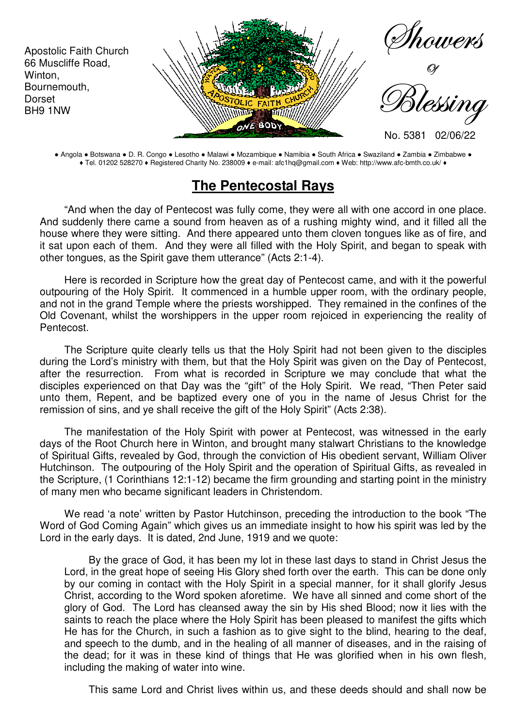

● Angola ● Botswana ● D. R. Congo ● Lesotho ● Malawi ● Mozambique ● Namibia ● South Africa ● Swaziland ● Zambia ● Zimbabwe ● ♦ Tel. 01202 528270 ♦ Registered Charity No. 238009 ♦ e-mail: afc1hq@gmail.com ♦ Web: http://www.afc-bmth.co.uk/ ♦

## **The Pentecostal Rays**

"And when the day of Pentecost was fully come, they were all with one accord in one place. And suddenly there came a sound from heaven as of a rushing mighty wind, and it filled all the house where they were sitting. And there appeared unto them cloven tongues like as of fire, and it sat upon each of them. And they were all filled with the Holy Spirit, and began to speak with other tongues, as the Spirit gave them utterance" (Acts 2:1-4).

Here is recorded in Scripture how the great day of Pentecost came, and with it the powerful outpouring of the Holy Spirit. It commenced in a humble upper room, with the ordinary people, and not in the grand Temple where the priests worshipped. They remained in the confines of the Old Covenant, whilst the worshippers in the upper room rejoiced in experiencing the reality of Pentecost.

The Scripture quite clearly tells us that the Holy Spirit had not been given to the disciples during the Lord's ministry with them, but that the Holy Spirit was given on the Day of Pentecost, after the resurrection. From what is recorded in Scripture we may conclude that what the disciples experienced on that Day was the "gift" of the Holy Spirit. We read, "Then Peter said unto them, Repent, and be baptized every one of you in the name of Jesus Christ for the remission of sins, and ye shall receive the gift of the Holy Spirit" (Acts 2:38).

The manifestation of the Holy Spirit with power at Pentecost, was witnessed in the early days of the Root Church here in Winton, and brought many stalwart Christians to the knowledge of Spiritual Gifts, revealed by God, through the conviction of His obedient servant, William Oliver Hutchinson. The outpouring of the Holy Spirit and the operation of Spiritual Gifts, as revealed in the Scripture, (1 Corinthians 12:1-12) became the firm grounding and starting point in the ministry of many men who became significant leaders in Christendom.

We read 'a note' written by Pastor Hutchinson, preceding the introduction to the book "The Word of God Coming Again" which gives us an immediate insight to how his spirit was led by the Lord in the early days. It is dated, 2nd June, 1919 and we quote:

By the grace of God, it has been my lot in these last days to stand in Christ Jesus the Lord, in the great hope of seeing His Glory shed forth over the earth. This can be done only by our coming in contact with the Holy Spirit in a special manner, for it shall glorify Jesus Christ, according to the Word spoken aforetime. We have all sinned and come short of the glory of God. The Lord has cleansed away the sin by His shed Blood; now it lies with the saints to reach the place where the Holy Spirit has been pleased to manifest the gifts which He has for the Church, in such a fashion as to give sight to the blind, hearing to the deaf, and speech to the dumb, and in the healing of all manner of diseases, and in the raising of the dead; for it was in these kind of things that He was glorified when in his own flesh, including the making of water into wine.

This same Lord and Christ lives within us, and these deeds should and shall now be